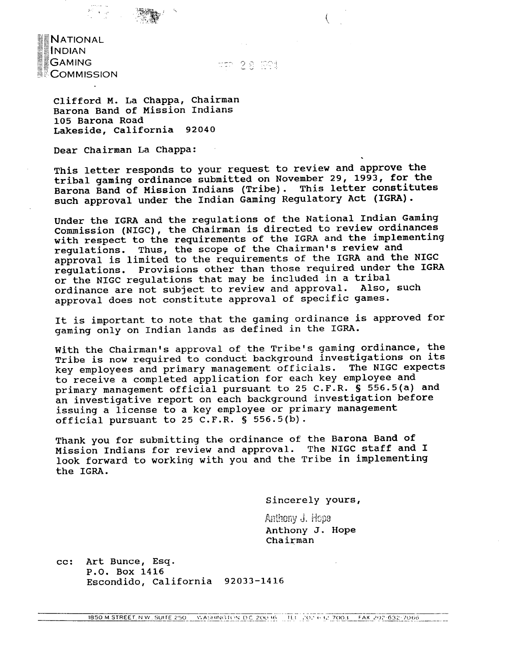**NATIONAL** INDIAN **Alternative Concernsion GAMING COMMISSION** 

## 28 1921

Clifford M. La Chappa, Chairman Barona Band of Mission Indians 105 Barona Road Lakeside, California 92040

Dear chairman La Chappa:

This letter responds to your request to review and approve the tribal gaming ordinance submitted on November 29, 1993, for the Barona Band of Mission Indians (Tribe). This letter constitutes such approval under the Indian Gaming Regulatory **Act** (IGRA).

Under the IGRA and the regulations of the National Indian Gaming Commission (NIGC), the Chairman is directed to review ordinances with respect to the requirements of the IGRA and the implementing regulations. Thus, the scope of the Chairman's review and approval is limited to the requirements of the IGRA and the NIGC regulations. Provisions other than those required under the IGRA or the NIGC regulations that may be included in a tribal<br>ordinance are not subject to review and approval. Also, such ordinance are not subject to review and approval. approval does not constitute approval of specific games.

It is important to note that the gaming ordinance is approved for gaming only on Indian lands as defined in the IGRA.

With the Chairman's approval of the Tribe's gaming ordinance, the Tribe is now required to conduct background investigations on its key employees and primary management officials. The NIGC expects to receive a completed application for each key employee and primary management official pursuant to **25** C.F.R. **S** 556.5(a) and an investigative report on each background investigation before issuing a license to a key employee or primary management official pursuant to **25** C.F.R. § **556.5(b).** 

Thank you for submitting the ordinance of the Barona Band of Mission Indians for review and approval. The NIGC staff and I look forward to working with you and the Tribe in implementing the IGRA.

Sincerely yours,

*Rn]E%ggy* **3. ljcpg**  Anthony J. Hope Chairman

cc: Art Bunce, Esq. P.O. Box 1416 Escondido, California 92033-1416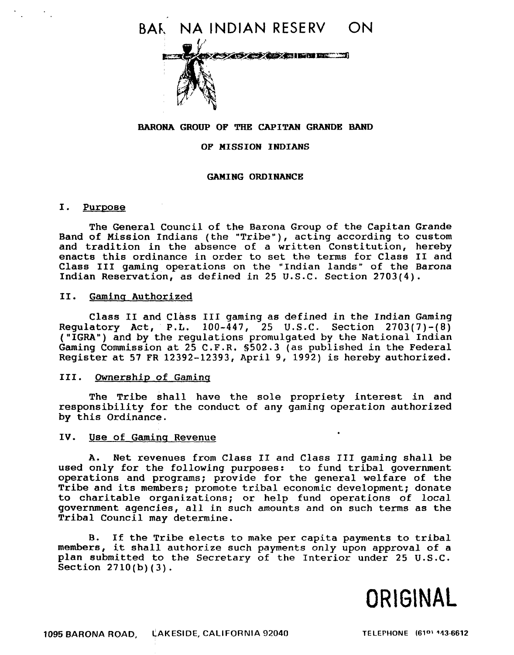

## **BARONA GROUP OF THE CAPITAN GRANDE BAND**

### **OF MISSION INDIANS**

### **GAMING ORDINANCE**

### I. Purpose

The General Council of the Barona Group of the Capitan Grande Band of Mission Indians (the "Tribe"), acting according to custom and tradition in the absence of a written Constitution, hereby enacts this ordinance in order to set the terms for Class I1 and Class I11 gaming operations on the "Indian lands" of the Barona Indian Reservation, as defined in **25** U.S.C. Section 2703(4).

## **11. Gamina** Authorized

Class **I1** and Class **111** gaming as defined in the Indian Gaming Regulatory **Act,** P.L. 100-447, 25 U.S.C. Section **2703(7)-(8) ("IGRA")** and by the regulations promulgated by the National Indian Gaming Commission at 25 C.F.R. 8502.3 (as published in the Federal Register at 57 FR 12392-12393, April 9, **1992)** is hereby authorized.

## 111. Ownership of Gaminq

The Tribe shall have the sole propriety interest in and responsibility for the conduct of any gaming operation authorized by this Ordinance.

### IV. Use of Gaming Revenue

**A.** Net revenues from Class I1 and Class **111** gaming shall be used only for the following purposes: to fund tribal government operations and programs; provide for the general welfare of the Tribe and its members; promote tribal economic development; donate to charitable organizations; or help fund operations of local government agencies, all in such amounts and on such terms as the Tribal Council may determine.

B. If the Tribe elects to make per capita payments to tribal members, it shall authorize such payments only upon approval of a plan submitted to the Secretary of the Interior under 25 U.S.C. Section 2710(b) (3).

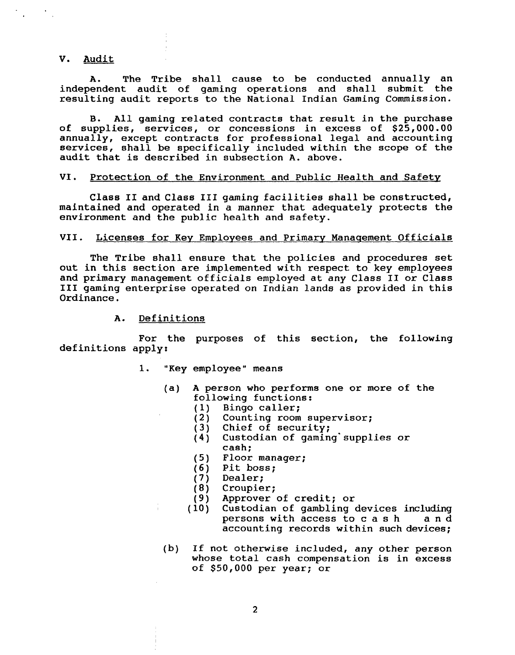### V. Audit

**A.** The Tribe shall cause to be conducted annually an independent audit of gaming operations and shall submit the resulting audit reports to the National Indian Gaming Commission.

B. All gaming related contracts that result in the purchase of supplies, services, or concessions in excess of \$25,000.00 annually, except contracts for professional legal and accounting services, shall be specifically included within the scope of the audit that is described in subsection **A.** above.

### VI. Protection of the Environment and Public Health and Safety

Class **I1** and Class **111** gaming facilities shall be constructed, maintained and operated in a manner that adequately protects the environment and the public health and safety.

### VII. Licenses for Key Employees and Primary Management Officials

The Tribe shall ensure that the policies and procedures set out in this section are implemented with respect to key employees and primary management officials employed at any Class I1 or Class **I11** gaming enterprise operated on Indian lands as provided in this Ordinance.

**A.** Definitions

For the purposes of this section, the following definitions apply:

- 1. "Key employee" means
	- (a) **A** person who performs one or more of the following functions:<br>(1) Bingo caller;
		- (1) Bingo caller;<br>(2) Counting room
		- Counting room supervisor;
		- (3) Chief of security;<br>(4) Custodian of gamin
		- Custodian of gaming supplies or cash;
		- (5) Floor manager;
		- $(6)$  Pit boss;<br>(7) Dealer;
		- (7) Dealer;<br>(8) Croupie
		-
		- (8) Croupier;<br>(9) Approver (9) Approver of credit; or<br>(10) Custodian of gambling
		- Custodian of gambling devices including persons with access to c a s h and accounting records within such devices;
	- (b) If not otherwise included, any other person whose total cash compensation is in excess of \$50,000 per year; or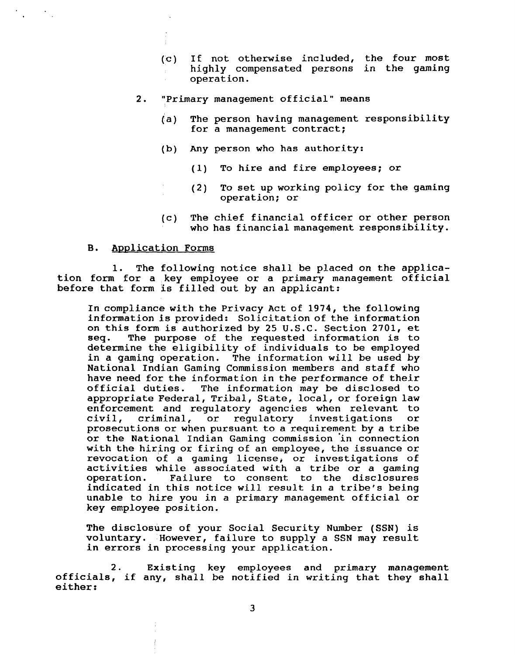- (~c) If not otherwise included, the four most highly compensated persons in the gaming operation.
- 2. "Primary management official" means
	- (a) The person having management responsibility for a management contract;
	- (b) Any person who has authority:
		- (1) To hire and fire employees; or
		- (2) To set up working policy for the gaming operation; or
	- (c) The chief financial officer or other person who has financial management responsibility.

# B. Application Forms

1. The following notice shall be placed on the application form for a key employee or a primary management official before that form is filled out by an applicant:

In compliance with the Privacy Act of 1974, the following information is provided: Solicitation of the information on this form is authorized by 25 U.S.C. Section 2701, et The purpose of the requested information is to determine the eligibility of individuals to be employed in a gaming operation. The information will be used by National Indian Gaming Commission members and staff who have need for the information in the performance of their<br>official duties. The information may be disclosed to The information may be disclosed to appropriate Federal, Tribal, State, local, or foreign law enforcement and regulatory agencies when relevant to<br>civil, criminal, or regulatory investigations or civil, criminal, or regulatory investigations or prosecutions or when pursuant to a requirement by a tribe or the National Indian Gaming commission 'in connection with the hiring or firing of an employee, the issuance or revocation of a gaming license, or investigations of activities while associated with a tribe or a gaming operation. Failure to consent to the disclosures indicated in this notice will result in a tribe's being unable to hire you in a primary management official or key employee position.

The disclosure of your Social Security Number (SSN) is voluntary. However, failure to supply a SSN may result in errors in processing your application.

2. Existing key employees and primary management officials, if any, shall be notified in writing that they shall either: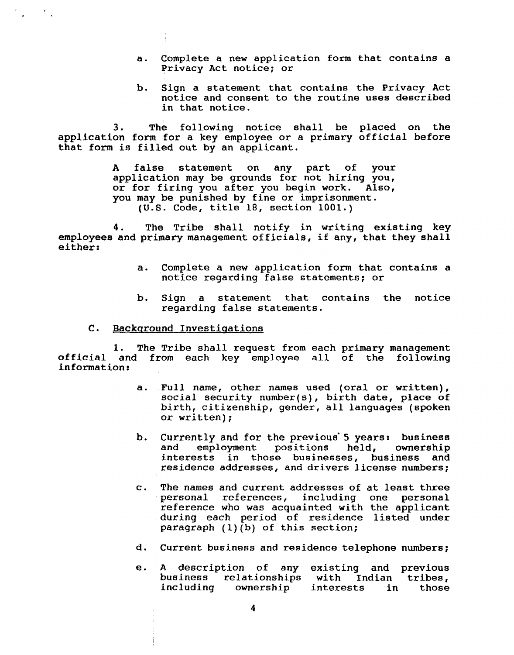- a. Complete a new application form that contains a Privacy Act notice; or
- b. Sign a statement that contains the Privacy Act notice and consent to the routine uses described in that notice.

3. The following notice shall be placed on the application form for a key employee or a primary official before that form is filled out by an applicant.

> A false statement on any part of your application may be grounds for not hiring you, or for firing you **a£** ter you begin work. Also, you may be punished by fine or imprisonment. (U.S. Code, title 18, section 1001.)

4. The Tribe shall notify in writing existing key employees and primary management officials, if any, that they shall either:

- a. Complete a **new** application form that contains a notice regarding false statements; or
- b. Sign a statement that contains the notice regarding false statements.
- C. Background Investigations

 $\mathcal{L}^{\text{max}}_{\text{max}}$ 

1. The Tribe shall request from each primary management official and from each key employee all of the following information:

- a. Full name, other names used (oral or written), social security number(s), birth date, place of birth, citizenship, gender, all languages (spoken or written);
- b. Currently and for the previous' **5** years: business and employment positions held, interests in those businesses, business and residence addresses, and drivers license numbers;
- c. The names and current addresses of at least three personal references, including one personal reference who was acquainted with the applicant during each period of residence listed under paragraph  $(1)(b)$  of this section;
- d. Current business and residence telephone numbers;
- e. **A** description of any existing and previous business relationships with Indian<br>including ownership interests in ownership interests in those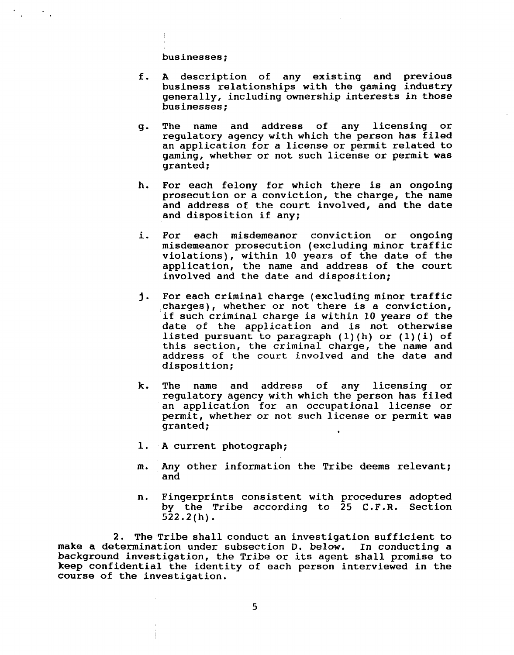businesses;

 $\mathcal{O}_{\mathcal{A}}$ 

- f. **A** description of any existing and previous business relationships with the gaming industry generally, including ownership interests in those businesses;
- g. The name and address of any licensing or regulatory agency with which the person has filed an application for a license or permit related to gaming, whether or not such license or permit was granted ;
- h. For each felony for which there is an ongoing prosecution or a conviction, the charge, the name and address of the court involved, and the date and disposition if any;
- i. For each misdemeanor conviction or ongoing misdemeanor prosecution (excluding minor traffic violations), within 10 years of the date of the application, the name and address of the court involved and the date and disposition;
- For each criminal charge (excluding minor traffic 1. charges), whether or not there is a conviction, if such criminal charge is within 10 years of the date of the application and is not otherwise listed pursuant to paragraph **(l)(h)** or **(l)(i)** of this section, the criminal charge, the name and address of the court involved and the date and disposition;
- k. The name and address of any licensing or regulatory agency with which the person has filed an application for an occupational license or permit, whether or not such license or permit was granted;
- 1. **A** current photograph;
- m. Any other information the Tribe deems relevant; and
- n. Fingerprints consistent with procedures adopted by the Tribe according to 25 C.F.R. Section 522.2(h).

2. The Tribe shall conduct an investigation sufficient to make a determination under subsection D. below. In conducting a background investigation, the Tribe or its agent shall promise to keep confidential the identity of each person interviewed in the course of the investigation.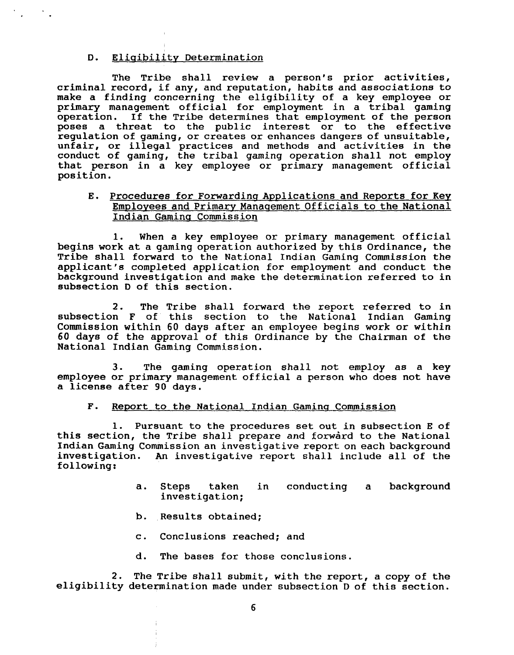### D. Eliaibilitv Determination

 $\mathcal{O}(\mathbb{Z})$ 

The Tribe shall review a person's prior activities, criminal record, if any, and reputation, habits and associations to make a finding concerning the eligibility of a key employee or primary management official for employment in a tribal gaming operation. If the Tribe determines that employment of the person poses a threat to the public interest or to the effective regulation of gaming, or creates or enhances dangers of unsuitable, unfair, or illegal practices and methods and activities in the conduct of gaming, the tribal gaming operation shall not employ that person in a key employee or primary management official position.

# E. Procedures for Forwarding Applications and Reports for Key Employees and Primary Manaqement Officials to the National Indian Gamina Commission

1. When a key employee or primary management official begins work at a gaming operation authorized by this Ordinance, the Tribe shall forward to the National Indian Gaming Commission the applicant's completed application for employment and conduct the background investigation and make the determination referred to in subsection D of this section.

2. The Tribe shall forward the report referred to in subsection F of this section to the National Indian Gaming Commission within 60 days after an employee begins work or within 60 days of the approval of this Ordinance by the Chairman of the National Indian Gaming Commission.

3. The gaming operation shall not employ as a key employee or primary management official a person who does not have a license after 90 days.

### F. Report to the National Indian Gaming Commission

1. Pursuant to the procedures set out in subsection E of this section, the Tribe shall prepare and forward to the National Indian Gaming Commission an investigative report on each background investigation. An investigative report shall include all of the An investigative report shall include all of the following:

- a. Steps taken in conducting a background investigation;
- b. Results obtained;
- c. Conclusions reached; and
- d. The bases for those conclusions.

2. The Tribe shall submit, with the report, a copy of the eligibility determination made under subsection D of this section.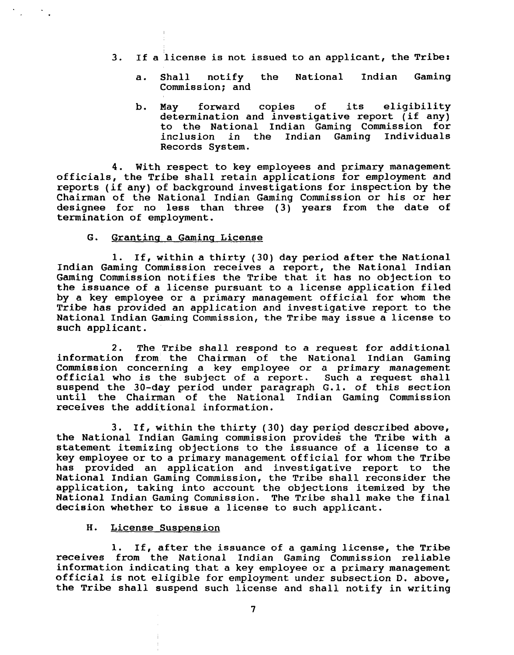- **3.** If a license is not issued to an applicant, the Tribe:
	- a. Shall notify the National Indian Gaming Commission; and
	- b. May forward copies of its eligibility determination and investigative report (if any) to the National Indian Gaming Commission for inclusion in the Indian Gaming Individuals Records System.

4. With respect to key employees and primary management officials, the Tribe shall retain applications for employment and reports (if any) of background investigations for inspection by the Chairman of the National Indian Gaming Commission or his or her designee for no less than three (3) years from the date of termination of employment.

## G. Grantina a Gamina License

**1.** If, within a thirty (30) day period after the National Indian Gaming Commission receives a report, the National Indian Gaming Commission notifies the Tribe that it has no objection to the issuance of a license pursuant to a license application filed by a key employee or a primary management official for whom the Tribe has provided an application and investigative report to the National Indian Gaming Commission, the Tribe may issue a license to such applicant.

2. The Tribe shall respond to a request for additional information from, the Chairman of the National Indian Gaming Commission concerning a key employee or a primary management official who is the subject of a report. Such a request shall suspend the 30-day period under paragraph G.1. of this section until the Chairman of the National Indian Gaming Commission receives the additional information.

3. If, within the thirty ( 30) day period described above, the National Indian Gaming commission provides the Tribe with a statement itemizing objections to the issuance of a license to a key employee or to a primary management official for whom the Tribe has provided an application and investigative report to the National Indian Gaming Commission, the Tribe shall reconsider the application, taking into account the objections itemized by the National Indian Gaming Commission. The Tribe shall make the final decision whether to issue a license to such applicant.

## H. License Suspension

1. If, after the issuance of a gaming license, the Tribe receives from the National Indian Gaming Commission reliable information indicating that a key employee or a primary management official is not eligible for employment under subsection D. above, the Tribe shall suspend such license and shall notify in writing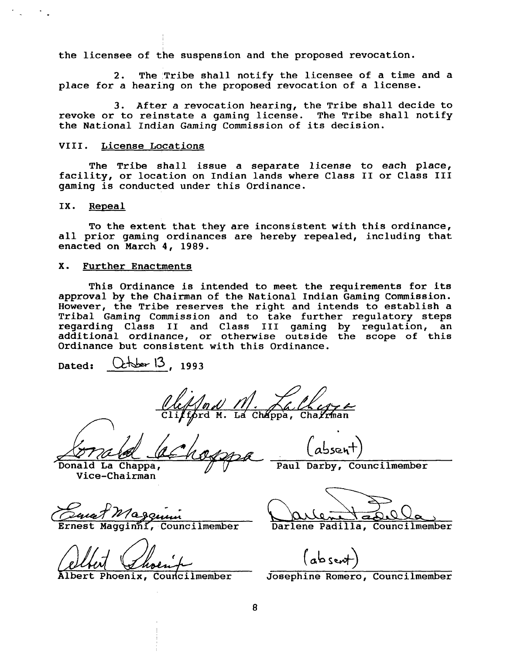the licensee of the suspension and the proposed revocation.

2. The Tribe shall notify the licensee of a time and a place for a hearing on the proposed revocation of a license.

3. After a revocation hearing, the Tribe shall decide to revoke or to reinstate a gaming license. The Tribe shall notify the National Indian Gaming Commission of its decision.

## VIII. License Locations

The Tribe shall issue a separate license to each place, facility, or location on Indian lands where Class I1 or Class I11 gaming is conducted under this Ordinance.

### IX. Repeal

To the extent that they are inconsistent with this ordinance, all prior gaming ordinances are hereby repealed, including that enacted on March 4, **1989.** 

### X. Further Enactments

This Ordinance is intended to meet the requirements for its approval by the Chairman of the National Indian Gaming Commission. However, the Tribe reserves the right and intends to establish a Tribal Gaming Commission and to take further regulatory steps regarding Class I1 and Class 111 gaming by regulation, an additional ordinance, or otherwise outside the scope of this Ordinance but consistent with this Ordinance.

Dated: Cther 13, 1993

chappa, Charman <u>/nd/</u><br>brd M.

Donald La Chappa, Vice-Chairman

*W'e99&i* 

Paul Darby, Councilmember

Ernest Magginni, Councilmember Darlene Padilla, Councilmember

absent)<br>Albert Phoenix, Councilmember Josephine Romero, Councilmember